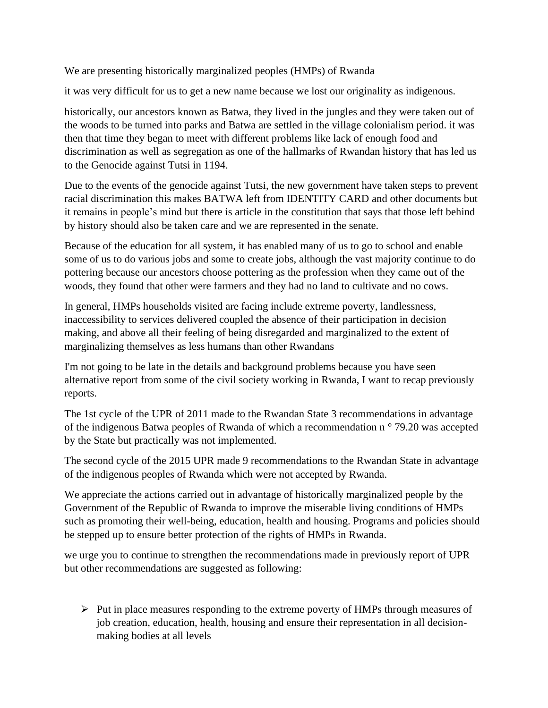We are presenting historically marginalized peoples (HMPs) of Rwanda

it was very difficult for us to get a new name because we lost our originality as indigenous.

historically, our ancestors known as Batwa, they lived in the jungles and they were taken out of the woods to be turned into parks and Batwa are settled in the village colonialism period. it was then that time they began to meet with different problems like lack of enough food and discrimination as well as segregation as one of the hallmarks of Rwandan history that has led us to the Genocide against Tutsi in 1194.

Due to the events of the genocide against Tutsi, the new government have taken steps to prevent racial discrimination this makes BATWA left from IDENTITY CARD and other documents but it remains in people's mind but there is article in the constitution that says that those left behind by history should also be taken care and we are represented in the senate.

Because of the education for all system, it has enabled many of us to go to school and enable some of us to do various jobs and some to create jobs, although the vast majority continue to do pottering because our ancestors choose pottering as the profession when they came out of the woods, they found that other were farmers and they had no land to cultivate and no cows.

In general, HMPs households visited are facing include extreme poverty, landlessness, inaccessibility to services delivered coupled the absence of their participation in decision making, and above all their feeling of being disregarded and marginalized to the extent of marginalizing themselves as less humans than other Rwandans

I'm not going to be late in the details and background problems because you have seen alternative report from some of the civil society working in Rwanda, I want to recap previously reports.

The 1st cycle of the UPR of 2011 made to the Rwandan State 3 recommendations in advantage of the indigenous Batwa peoples of Rwanda of which a recommendation n ° 79.20 was accepted by the State but practically was not implemented.

The second cycle of the 2015 UPR made 9 recommendations to the Rwandan State in advantage of the indigenous peoples of Rwanda which were not accepted by Rwanda.

We appreciate the actions carried out in advantage of historically marginalized people by the Government of the Republic of Rwanda to improve the miserable living conditions of HMPs such as promoting their well-being, education, health and housing. Programs and policies should be stepped up to ensure better protection of the rights of HMPs in Rwanda.

we urge you to continue to strengthen the recommendations made in previously report of UPR but other recommendations are suggested as following:

➢ Put in place measures responding to the extreme poverty of HMPs through measures of job creation, education, health, housing and ensure their representation in all decisionmaking bodies at all levels